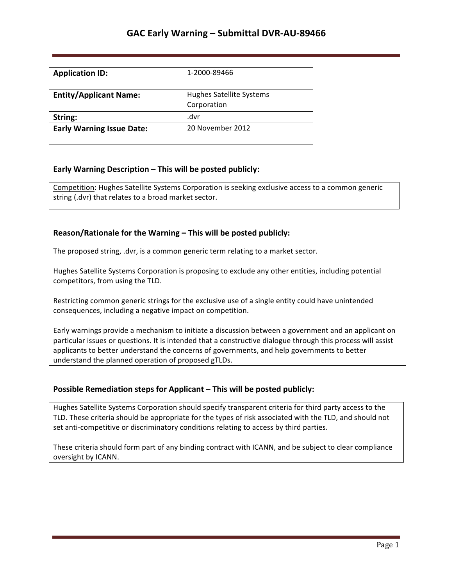# **GAC Early Warning – Submittal DVR-AU-89466**

| <b>Application ID:</b>           | 1-2000-89466                            |
|----------------------------------|-----------------------------------------|
| <b>Entity/Applicant Name:</b>    | Hughes Satellite Systems<br>Corporation |
| String:                          | .dvr                                    |
| <b>Early Warning Issue Date:</b> | 20 November 2012                        |

### **Early Warning Description – This will be posted publicly:**

Competition: Hughes Satellite Systems Corporation is seeking exclusive access to a common generic string (.dvr) that relates to a broad market sector.

### **Reason/Rationale for the Warning – This will be posted publicly:**

The proposed string, .dvr, is a common generic term relating to a market sector.

Hughes Satellite Systems Corporation is proposing to exclude any other entities, including potential competitors, from using the TLD.

Restricting common generic strings for the exclusive use of a single entity could have unintended consequences, including a negative impact on competition.

Early warnings provide a mechanism to initiate a discussion between a government and an applicant on particular issues or questions. It is intended that a constructive dialogue through this process will assist applicants to better understand the concerns of governments, and help governments to better understand the planned operation of proposed gTLDs.

#### **Possible Remediation steps for Applicant – This will be posted publicly:**

Hughes Satellite Systems Corporation should specify transparent criteria for third party access to the TLD. These criteria should be appropriate for the types of risk associated with the TLD, and should not set anti-competitive or discriminatory conditions relating to access by third parties.

These criteria should form part of any binding contract with ICANN, and be subject to clear compliance oversight by ICANN.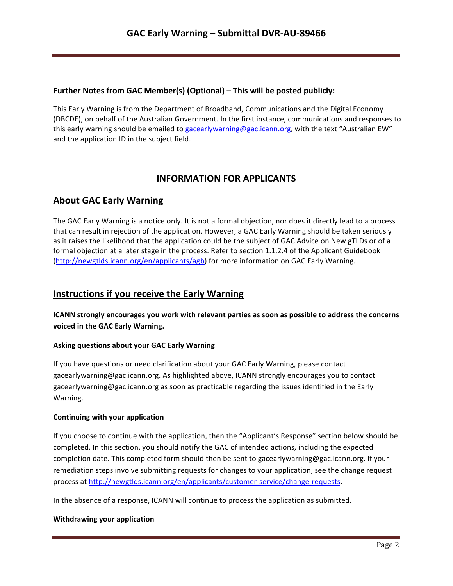### **Further Notes from GAC Member(s) (Optional) – This will be posted publicly:**

This Early Warning is from the Department of Broadband, Communications and the Digital Economy (DBCDE), on behalf of the Australian Government. In the first instance, communications and responses to this early warning should be emailed to gacearlywarning@gac.icann.org, with the text "Australian EW" and the application ID in the subject field.

# **INFORMATION FOR APPLICANTS**

## **About GAC Early Warning**

The GAC Early Warning is a notice only. It is not a formal objection, nor does it directly lead to a process that can result in rejection of the application. However, a GAC Early Warning should be taken seriously as it raises the likelihood that the application could be the subject of GAC Advice on New gTLDs or of a formal objection at a later stage in the process. Refer to section 1.1.2.4 of the Applicant Guidebook (http://newgtlds.icann.org/en/applicants/agb) for more information on GAC Early Warning.

### **Instructions if you receive the Early Warning**

**ICANN** strongly encourages you work with relevant parties as soon as possible to address the concerns voiced in the GAC Early Warning.

### **Asking questions about your GAC Early Warning**

If you have questions or need clarification about your GAC Early Warning, please contact gacearlywarning@gac.icann.org. As highlighted above, ICANN strongly encourages you to contact gacearlywarning@gac.icann.org as soon as practicable regarding the issues identified in the Early Warning. 

### **Continuing with your application**

If you choose to continue with the application, then the "Applicant's Response" section below should be completed. In this section, you should notify the GAC of intended actions, including the expected completion date. This completed form should then be sent to gacearlywarning@gac.icann.org. If your remediation steps involve submitting requests for changes to your application, see the change request process at http://newgtlds.icann.org/en/applicants/customer-service/change-requests.

In the absence of a response, ICANN will continue to process the application as submitted.

### **Withdrawing your application**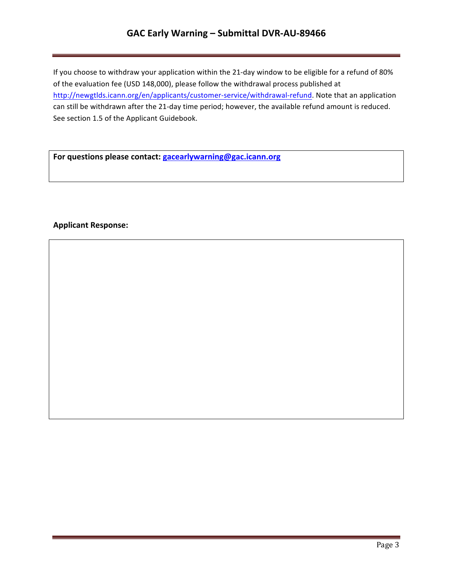# **GAC Early Warning – Submittal DVR-AU-89466**

If you choose to withdraw your application within the 21-day window to be eligible for a refund of 80% of the evaluation fee (USD 148,000), please follow the withdrawal process published at http://newgtlds.icann.org/en/applicants/customer-service/withdrawal-refund. Note that an application can still be withdrawn after the 21-day time period; however, the available refund amount is reduced. See section 1.5 of the Applicant Guidebook.

For questions please contact: **gacearlywarning@gac.icann.org** 

### **Applicant Response:**